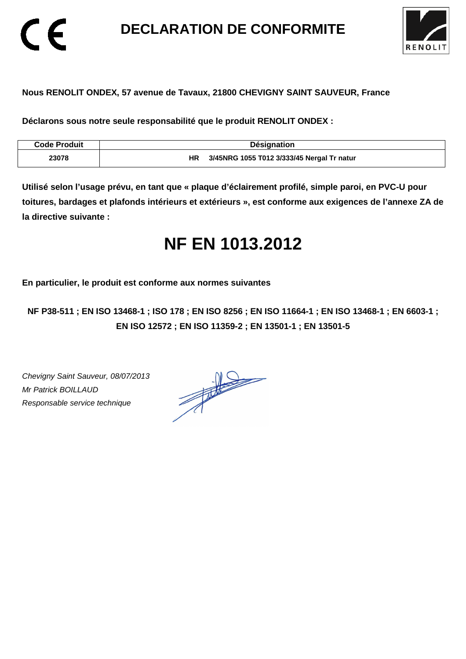**DECLARATION DE CONFORMITE** 



### **Nous RENOLIT ONDEX, 57 avenue de Tavaux, 21800 CHEVIGNY SAINT SAUVEUR, France**

**Déclarons sous notre seule responsabilité que le produit RENOLIT ONDEX :** 

| <b>Code Produit</b> | <b>Désignation</b>                               |
|---------------------|--------------------------------------------------|
| 23078               | 3/45NRG 1055 T012 3/333/45 Nergal Tr natur<br>НR |

**Utilisé selon l'usage prévu, en tant que « plaque d'éclairement profilé, simple paroi, en PVC-U pour toitures, bardages et plafonds intérieurs et extérieurs », est conforme aux exigences de l'annexe ZA de la directive suivante :** 

# **NF EN 1013.2012**

**En particulier, le produit est conforme aux normes suivantes** 

**NF P38-511 ; EN ISO 13468-1 ; ISO 178 ; EN ISO 8256 ; EN ISO 11664-1 ; EN ISO 13468-1 ; EN 6603-1 ; EN ISO 12572 ; EN ISO 11359-2 ; EN 13501-1 ; EN 13501-5**

Chevigny Saint Sauveur, 08/07/2013 Mr Patrick BOILLAUD Responsable service technique

 $\epsilon$ 

 $\frac{1}{\sqrt{2}}$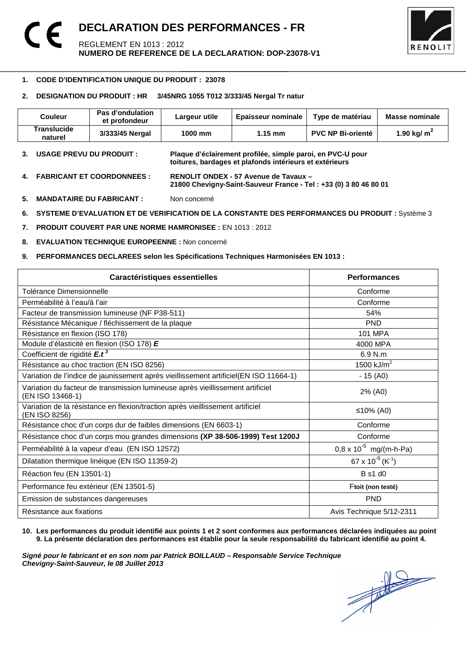

#### -**1. CODE D'IDENTIFICATION UNIQUE DU PRODUIT : 23078**

#### **2. DESIGNATION DU PRODUIT : HR 3/45NRG 1055 T012 3/333/45 Nergal Tr natur**

| Couleur                | Pas d'ondulation<br>et profondeur | Largeur utile | <b>Epaisseur nominale</b> | Type de matériau         | Masse nominale |
|------------------------|-----------------------------------|---------------|---------------------------|--------------------------|----------------|
| Translucide<br>naturel | 3/333/45 Nergal                   | 1000 mm       | $1.15 \text{ mm}$         | <b>PVC NP Bi-orienté</b> | 1.90 kg/ $m2$  |

- **3. USAGE PREVU DU PRODUIT : Plaque d'éclairement profilée, simple paroi, en PVC-U pour toitures, bardages et plafonds intérieurs et extérieurs**
- **4. FABRICANT ET COORDONNEES : RENOLIT ONDEX 57 Avenue de Tavaux 21800 Chevigny-Saint-Sauveur France - Tel : +33 (0) 3 80 46 80 01**
- **5. MANDATAIRE DU FABRICANT :** Non concerné
- **6. SYSTEME D'EVALUATION ET DE VERIFICATION DE LA CONSTANTE DES PERFORMANCES DU PRODUIT :** Système 3
- **7. PRODUIT COUVERT PAR UNE NORME HAMRONISEE :** EN 1013 : 2012
- **8. EVALUATION TECHNIQUE EUROPEENNE :** Non concerné
- **9. PERFORMANCES DECLAREES selon les Spécifications Techniques Harmonisées EN 1013 :**

| Caractéristiques essentielles                                                                      | <b>Performances</b>                      |
|----------------------------------------------------------------------------------------------------|------------------------------------------|
| Tolérance Dimensionnelle                                                                           | Conforme                                 |
| Perméabilité à l'eau/à l'air                                                                       | Conforme                                 |
| Facteur de transmission lumineuse (NF P38-511)                                                     | 54%                                      |
| Résistance Mécanique / fléchissement de la plaque                                                  | <b>PND</b>                               |
| Résistance en flexion (ISO 178)                                                                    | <b>101 MPA</b>                           |
| Module d'élasticité en flexion (ISO 178) E                                                         | 4000 MPA                                 |
| Coefficient de rigidité E.t <sup>3</sup>                                                           | $6.9$ N.m.                               |
| Résistance au choc traction (EN ISO 8256)                                                          | 1500 kJ/ $m^2$                           |
| Variation de l'indice de jaunissement après vieillissement artificiel(EN ISO 11664-1)              | $-15(40)$                                |
| Variation du facteur de transmission lumineuse après vieillissement artificiel<br>(EN ISO 13468-1) | 2% (A0)                                  |
| Variation de la résistance en flexion/traction après vieillissement artificiel<br>(EN ISO 8256)    | ≤10% (A0)                                |
| Résistance choc d'un corps dur de faibles dimensions (EN 6603-1)                                   | Conforme                                 |
| Résistance choc d'un corps mou grandes dimensions (XP 38-506-1999) Test 1200J                      | Conforme                                 |
| Perméabilité à la vapeur d'eau (EN ISO 12572)                                                      | $0.8 \times 10^{-5}$ mg/(m-h-Pa)         |
| Dilatation thermique linéique (EN ISO 11359-2)                                                     | 67 x 10 <sup>-6</sup> (K <sup>-1</sup> ) |
| Réaction feu (EN 13501-1)                                                                          | B s1 d0                                  |
| Performance feu extérieur (EN 13501-5)                                                             | Ftoit (non testé)                        |
| Emission de substances dangereuses                                                                 | <b>PND</b>                               |
| Résistance aux fixations                                                                           | Avis Technique 5/12-2311                 |

#### **10. Les performances du produit identifié aux points 1 et 2 sont conformes aux performances déclarées indiquées au point 9. La présente déclaration des performances est établie pour la seule responsabilité du fabricant identifié au point 4.**

Signé pour le fabricant et en son nom par Patrick BOILLAUD – Responsable Service Technique<br>Chevigny-Saint-Sauveur, le 08 Juillet 2013<br> **Chevigny-Saint-Sauveur, le 08 Juillet 2013 Chevigny-Saint-Sauveur, le 08 Juillet 2013**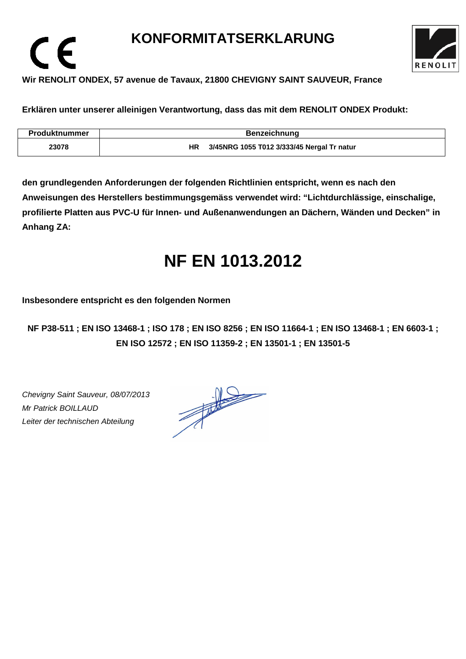## **KONFORMITATSERKLARUNG**



### **Wir RENOLIT ONDEX, 57 avenue de Tavaux, 21800 CHEVIGNY SAINT SAUVEUR, France**

**Erklären unter unserer alleinigen Verantwortung, dass das mit dem RENOLIT ONDEX Produkt:** 

| Produktnummer | <b>Benzeichnung</b>                              |
|---------------|--------------------------------------------------|
| 23078         | 3/45NRG 1055 T012 3/333/45 Nergal Tr natur<br>ΗR |

**den grundlegenden Anforderungen der folgenden Richtlinien entspricht, wenn es nach den Anweisungen des Herstellers bestimmungsgemäss verwendet wird: "Lichtdurchlässige, einschalige, profilierte Platten aus PVC-U für Innen- und Außenanwendungen an Dächern, Wänden und Decken" in Anhang ZA:** 

# **NF EN 1013.2012**

**Insbesondere entspricht es den folgenden Normen** 

**NF P38-511 ; EN ISO 13468-1 ; ISO 178 ; EN ISO 8256 ; EN ISO 11664-1 ; EN ISO 13468-1 ; EN 6603-1 ; EN ISO 12572 ; EN ISO 11359-2 ; EN 13501-1 ; EN 13501-5**

Chevigny Saint Sauveur, 08/07/2013 Mr Patrick BOILLAUD Leiter der technischen Abteilung

 $\epsilon$ 

 $\frac{1}{\sqrt{2}}$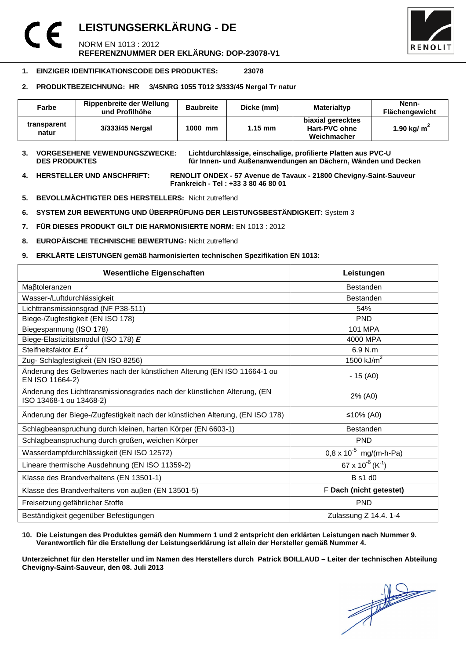## **LEISTUNGSERKLÄRUNG - DE**  NORM EN 1013 : 2012 **REFERENZNUMMER DER EKLÄRUNG: DOP-23078-V1**



#### **1. EINZIGER IDENTIFIKATIONSCODE DES PRODUKTES: 23078**

#### **2. PRODUKTBEZEICHNUNG: HR 3/45NRG 1055 T012 3/333/45 Nergal Tr natur**

| Farbe                | Rippenbreite der Wellung<br>und Profilhöhe | <b>Baubreite</b> | Dicke (mm)        | Materialtyp                                       | Nenn-<br>Flächengewicht |
|----------------------|--------------------------------------------|------------------|-------------------|---------------------------------------------------|-------------------------|
| transparent<br>natur | 3/333/45 Nergal                            | 1000 mm          | $1.15 \text{ mm}$ | biaxial gerecktes<br>Hart-PVC ohne<br>Weichmacher | 1.90 kg/ $m2$           |

## **3. VORGESEHENE VEWENDUNGSZWECKE: Lichtdurchlässige, einschalige, profilierte Platten aus PVC-U**

für Innen- und Außenanwendungen an Dächern, Wänden und Decken

**4. HERSTELLER UND ANSCHFRIFT: RENOLIT ONDEX - 57 Avenue de Tavaux - 21800 Chevigny-Saint-Sauveur Frankreich - Tel : +33 3 80 46 80 01** 

- **5. BEVOLLMÄCHTIGTER DES HERSTELLERS:** Nicht zutreffend
- **6. SYSTEM ZUR BEWERTUNG UND ÜBERPRÜFUNG DER LEISTUNGSBESTÄNDIGKEIT:** System 3
- **7. FÜR DIESES PRODUKT GILT DIE HARMONISIERTE NORM:** EN 1013 : 2012
- **8. EUROPÄISCHE TECHNISCHE BEWERTUNG:** Nicht zutreffend
- **9. ERKLÄRTE LEISTUNGEN gemäß harmonisierten technischen Spezifikation EN 1013:**

| <b>Wesentliche Eigenschaften</b>                                                                    | Leistungen                             |
|-----------------------------------------------------------------------------------------------------|----------------------------------------|
| Maßtoleranzen                                                                                       | <b>Bestanden</b>                       |
| Wasser-/Luftdurchlässigkeit                                                                         | <b>Bestanden</b>                       |
| Lichttransmissionsgrad (NF P38-511)                                                                 | 54%                                    |
| Biege-/Zugfestigkeit (EN ISO 178)                                                                   | <b>PND</b>                             |
| Biegespannung (ISO 178)                                                                             | <b>101 MPA</b>                         |
| Biege-Elastizitätsmodul (ISO 178) E                                                                 | 4000 MPA                               |
| Steifheitsfaktor E.t <sup>3</sup>                                                                   | 6.9 N.m                                |
| Zug- Schlagfestigkeit (EN ISO 8256)                                                                 | 1500 $kJ/m2$                           |
| Änderung des Gelbwertes nach der künstlichen Alterung (EN ISO 11664-1 ou<br>EN ISO 11664-2)         | $-15(40)$                              |
| Änderung des Lichttransmissionsgrades nach der künstlichen Alterung, (EN<br>ISO 13468-1 ou 13468-2) | 2% (A0)                                |
| Änderung der Biege-/Zugfestigkeit nach der künstlichen Alterung, (EN ISO 178)                       | ≤10% (A0)                              |
| Schlagbeanspruchung durch kleinen, harten Körper (EN 6603-1)                                        | <b>Bestanden</b>                       |
| Schlagbeanspruchung durch großen, weichen Körper                                                    | <b>PND</b>                             |
| Wasserdampfdurchlässigkeit (EN ISO 12572)                                                           | $0.8 \times 10^{-5}$ mg/(m-h-Pa)       |
| Lineare thermische Ausdehnung (EN ISO 11359-2)                                                      | $67 \times 10^{-6}$ (K <sup>-1</sup> ) |
| Klasse des Brandverhaltens (EN 13501-1)                                                             | <b>B</b> s1 d0                         |
| Klasse des Brandverhaltens von außen (EN 13501-5)                                                   | F Dach (nicht getestet)                |
| Freisetzung gefährlicher Stoffe                                                                     | <b>PND</b>                             |
| Beständigkeit gegenüber Befestigungen                                                               | Zulassung Z 14.4. 1-4                  |

#### **10. Die Leistungen des Produktes gemäß den Nummern 1 und 2 entspricht den erklärten Leistungen nach Nummer 9. Verantwortlich für die Erstellung der Leistungserklärung ist allein der Hersteller gemäß Nummer 4.**

**Unterzeichnet für den Hersteller und im Namen des Herstellers durch Patrick BOILLAUD – Leiter der technischen Abteilung Chevigny-Saint-Sauveur, den 08. Juli 2013**

 $\frac{1}{\sqrt{2}}$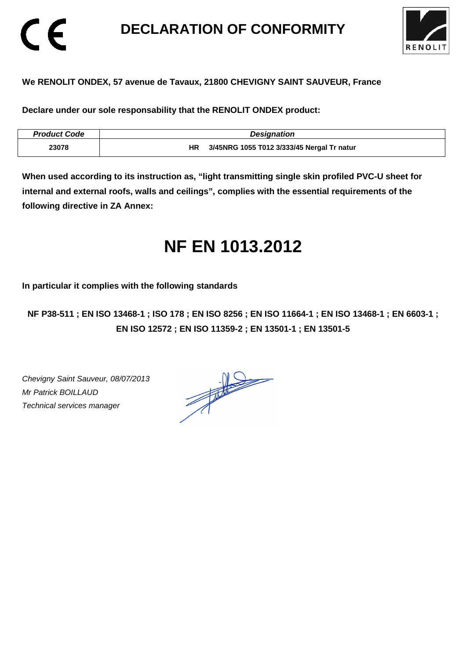## **DECLARATION OF CONFORMITY**



### **We RENOLIT ONDEX, 57 avenue de Tavaux, 21800 CHEVIGNY SAINT SAUVEUR, France**

**Declare under our sole responsability that the RENOLIT ONDEX product:** 

| <b>Product Code</b> | <b>Designation</b>                         |
|---------------------|--------------------------------------------|
| 23078               | 3/45NRG 1055 T012 3/333/45 Nergal Tr natur |

**When used according to its instruction as, "light transmitting single skin profiled PVC-U sheet for internal and external roofs, walls and ceilings", complies with the essential requirements of the following directive in ZA Annex:** 

# **NF EN 1013.2012**

**In particular it complies with the following standards** 

**NF P38-511 ; EN ISO 13468-1 ; ISO 178 ; EN ISO 8256 ; EN ISO 11664-1 ; EN ISO 13468-1 ; EN 6603-1 ; EN ISO 12572 ; EN ISO 11359-2 ; EN 13501-1 ; EN 13501-5**

Chevigny Saint Sauveur, 08/07/2013 Mr Patrick BOILLAUD Technical services manager

CE

 $\frac{1}{\sqrt{2}}$